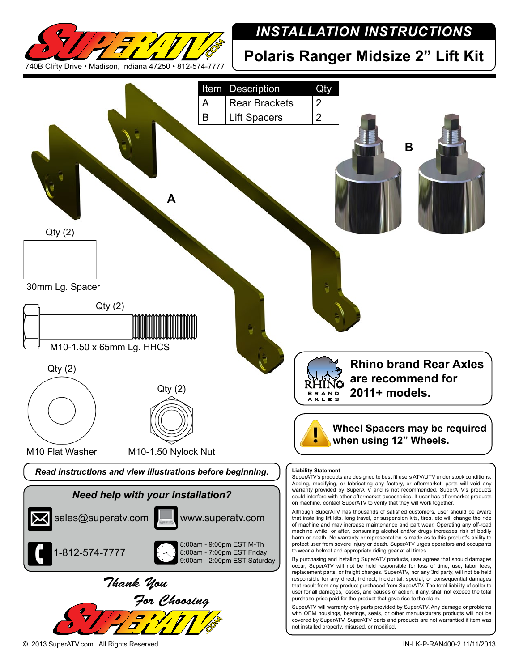

## *INSTALLATION INSTRUCTIONS*

**Polaris Ranger Midsize 2" Lift Kit**

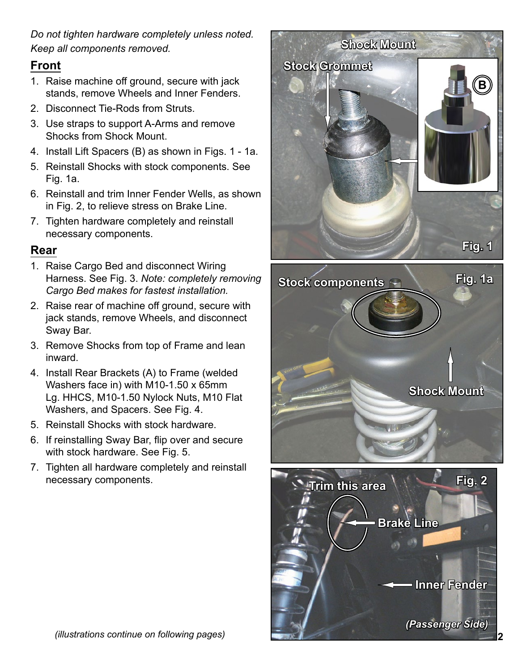*Do not tighten hardware completely unless noted. Keep all components removed.*

## **Front**

- 1. Raise machine off ground, secure with jack stands, remove Wheels and Inner Fenders.
- 2. Disconnect Tie-Rods from Struts.
- 3. Use straps to support A-Arms and remove Shocks from Shock Mount.
- 4. Install Lift Spacers (B) as shown in Figs. 1 1a.
- 5. Reinstall Shocks with stock components. See Fig. 1a.
- 6. Reinstall and trim Inner Fender Wells, as shown in Fig. 2, to relieve stress on Brake Line.
- 7. Tighten hardware completely and reinstall necessary components.

## **Rear**

- 1. Raise Cargo Bed and disconnect Wiring Harness. See Fig. 3. *Note: completely removing Cargo Bed makes for fastest installation.*
- 2. Raise rear of machine off ground, secure with jack stands, remove Wheels, and disconnect Sway Bar.
- 3. Remove Shocks from top of Frame and lean inward.
- 4. Install Rear Brackets (A) to Frame (welded Washers face in) with M10-1.50 x 65mm Lg. HHCS, M10-1.50 Nylock Nuts, M10 Flat Washers, and Spacers. See Fig. 4.
- 5. Reinstall Shocks with stock hardware.
- 6. If reinstalling Sway Bar, flip over and secure with stock hardware. See Fig. 5.
- 7. Tighten all hardware completely and reinstall necessary components.



*(Passenger Side)*

**Inner Fender**